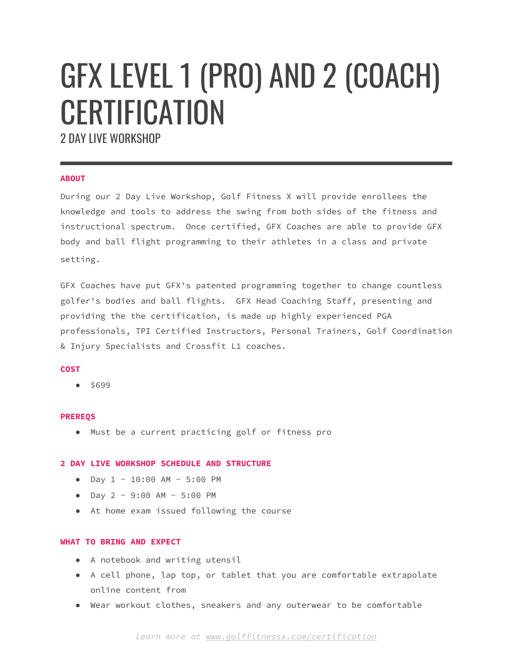# GFX LEVEL 1 (PRO) AND 2 (COACH) **CERTIFICATION**

2 DAY LIVE WORKSHOP

## **ABOUT**

During our 2 Day Live Workshop, Golf Fitness X will provide enrollees the knowledge and tools to address the swing from both sides of the fitness and instructional spectrum. Once certified, GFX Coaches are able to provide GFX body and ball flight programming to their athletes in a class and private setting.

GFX Coaches have put GFX's patented programming together to change countless golfer's bodies and ball flights. GFX Head Coaching Staff, presenting and providing the the certification, is made up highly experienced PGA professionals, TPI Certified Instructors, Personal Trainers, Golf Coordination & Injury Specialists and Crossfit L1 coaches.

#### **COST**

● \$699

#### **PREREQS**

● Must be a current practicing golf or fitness pro

#### **2 DAY LIVE WORKSHOP SCHEDULE AND STRUCTURE**

- Day 1 10:00 AM 5:00 PM
- Day 2 9:00 AM 5:00 PM
- At home exam issued following the course

#### **WHAT TO BRING AND EXPECT**

- A notebook and writing utensil
- A cell phone, lap top, or tablet that you are comfortable extrapolate online content from
- Wear workout clothes, sneakers and any outerwear to be comfortable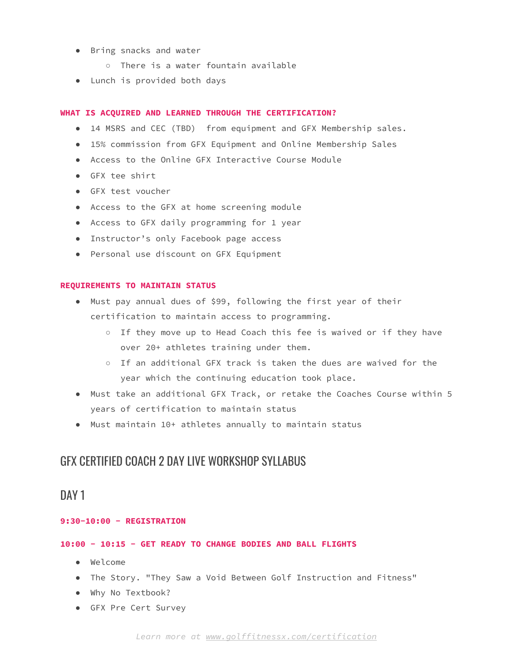- Bring snacks and water
	- There is a water fountain available
- Lunch is provided both days

#### **WHAT IS ACQUIRED AND LEARNED THROUGH THE CERTIFICATION?**

- 14 MSRS and CEC (TBD) from equipment and GFX Membership sales.
- 15% commission from GFX Equipment and Online Membership Sales
- Access to the Online GFX Interactive Course Module
- GFX tee shirt
- GFX test voucher
- Access to the GFX at home screening module
- Access to GFX daily programming for 1 year
- Instructor's only Facebook page access
- Personal use discount on GFX Equipment

#### **REQUIREMENTS TO MAINTAIN STATUS**

- Must pay annual dues of \$99, following the first year of their certification to maintain access to programming.
	- If they move up to Head Coach this fee is waived or if they have over 20+ athletes training under them.
	- If an additional GFX track is taken the dues are waived for the year which the continuing education took place.
- Must take an additional GFX Track, or retake the Coaches Course within 5 years of certification to maintain status
- Must maintain 10+ athletes annually to maintain status

# GFX CERTIFIED COACH 2 DAY LIVE WORKSHOP SYLLABUS

# DAY 1

# **9:30-10:00 - REGISTRATION**

#### **10:00 - 10:15 - GET READY TO CHANGE BODIES AND BALL FLIGHTS**

- Welcome
- The Story. "They Saw a Void Between Golf Instruction and Fitness"
- Why No Textbook?
- GFX Pre Cert Survey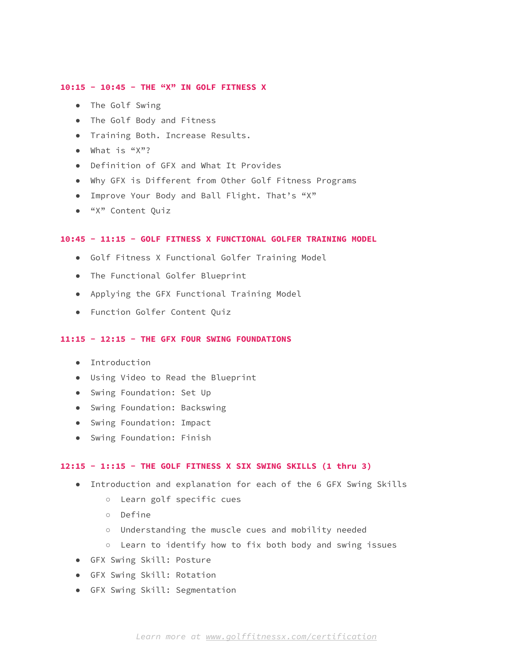#### **10:15 - 10:45 - THE "X" IN GOLF FITNESS X**

- The Golf Swing
- The Golf Body and Fitness
- Training Both. Increase Results.
- What is "X"?
- Definition of GFX and What It Provides
- Why GFX is Different from Other Golf Fitness Programs
- Improve Your Body and Ball Flight. That's "X"
- "X" Content Quiz

#### **10:45 - 11:15 - GOLF FITNESS X FUNCTIONAL GOLFER TRAINING MODEL**

- Golf Fitness X Functional Golfer Training Model
- The Functional Golfer Blueprint
- Applying the GFX Functional Training Model
- Function Golfer Content Quiz

#### **11:15 - 12:15 - THE GFX FOUR SWING FOUNDATIONS**

- Introduction
- Using Video to Read the Blueprint
- Swing Foundation: Set Up
- Swing Foundation: Backswing
- Swing Foundation: Impact
- Swing Foundation: Finish

#### **12:15 - 1::15 - THE GOLF FITNESS X SIX SWING SKILLS (1 thru 3)**

- Introduction and explanation for each of the 6 GFX Swing Skills
	- Learn golf specific cues
	- Define
	- Understanding the muscle cues and mobility needed
	- Learn to identify how to fix both body and swing issues
- GFX Swing Skill: Posture
- GFX Swing Skill: Rotation
- GFX Swing Skill: Segmentation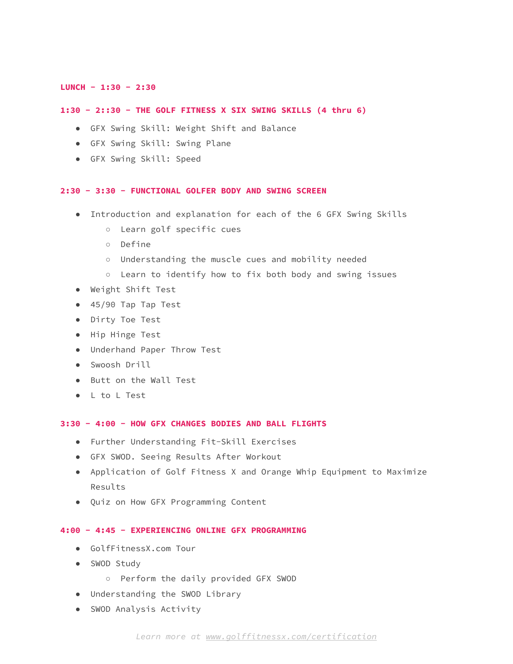## **LUNCH - 1:30 - 2:30**

#### **1:30 - 2::30 - THE GOLF FITNESS X SIX SWING SKILLS (4 thru 6)**

- GFX Swing Skill: Weight Shift and Balance
- GFX Swing Skill: Swing Plane
- GFX Swing Skill: Speed

#### **2:30 - 3:30 - FUNCTIONAL GOLFER BODY AND SWING SCREEN**

- Introduction and explanation for each of the 6 GFX Swing Skills
	- Learn golf specific cues
	- Define
	- Understanding the muscle cues and mobility needed
	- Learn to identify how to fix both body and swing issues
- Weight Shift Test
- 45/90 Tap Tap Test
- Dirty Toe Test
- Hip Hinge Test
- Underhand Paper Throw Test
- Swoosh Drill
- Butt on the Wall Test
- L to L Test

#### **3:30 - 4:00 - HOW GFX CHANGES BODIES AND BALL FLIGHTS**

- Further Understanding Fit-Skill Exercises
- GFX SWOD. Seeing Results After Workout
- Application of Golf Fitness X and Orange Whip Equipment to Maximize Results
- Quiz on How GFX Programming Content

# **4:00 - 4:45 - EXPERIENCING ONLINE GFX PROGRAMMING**

- GolfFitnessX.com Tour
- SWOD Study
	- Perform the daily provided GFX SWOD
- Understanding the SWOD Library
- SWOD Analysis Activity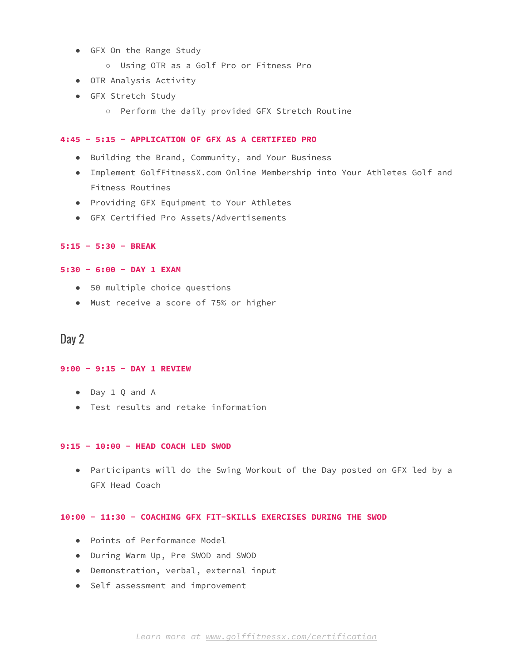- GFX On the Range Study
	- Using OTR as a Golf Pro or Fitness Pro
- OTR Analysis Activity
- GFX Stretch Study
	- Perform the daily provided GFX Stretch Routine

## **4:45 - 5:15 - APPLICATION OF GFX AS A CERTIFIED PRO**

- Building the Brand, Community, and Your Business
- Implement GolfFitnessX.com Online Membership into Your Athletes Golf and Fitness Routines
- Providing GFX Equipment to Your Athletes
- GFX Certified Pro Assets/Advertisements

### **5:15 - 5:30 - BREAK**

#### **5:30 - 6:00 - DAY 1 EXAM**

- 50 multiple choice questions
- Must receive a score of 75% or higher

# Day 2

# **9:00 - 9:15 - DAY 1 REVIEW**

- Day 1 Q and A
- Test results and retake information

#### **9:15 - 10:00 - HEAD COACH LED SWOD**

● Participants will do the Swing Workout of the Day posted on GFX led by a GFX Head Coach

## **10:00 - 11:30 - COACHING GFX FIT-SKILLS EXERCISES DURING THE SWOD**

- Points of Performance Model
- During Warm Up, Pre SWOD and SWOD
- Demonstration, verbal, external input
- Self assessment and improvement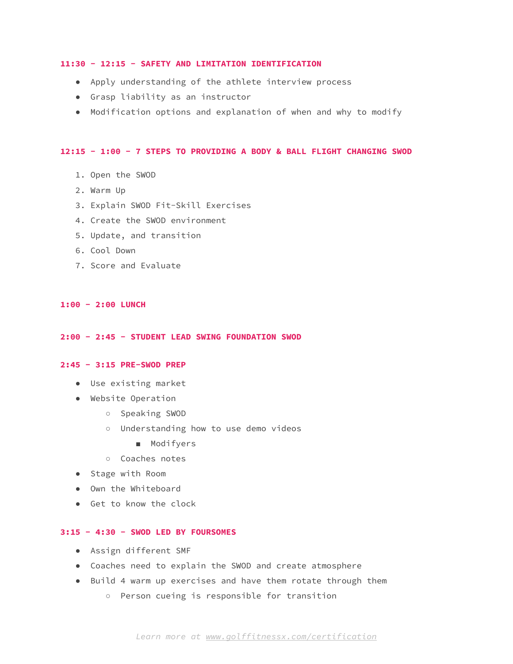#### **11:30 - 12:15 - SAFETY AND LIMITATION IDENTIFICATION**

- Apply understanding of the athlete interview process
- Grasp liability as an instructor
- Modification options and explanation of when and why to modify

#### **12:15 - 1:00 - 7 STEPS TO PROVIDING A BODY & BALL FLIGHT CHANGING SWOD**

- 1. Open the SWOD
- 2. Warm Up
- 3. Explain SWOD Fit-Skill Exercises
- 4. Create the SWOD environment
- 5. Update, and transition
- 6. Cool Down
- 7. Score and Evaluate

# **1:00 - 2:00 LUNCH**

#### **2:00 - 2:45 - STUDENT LEAD SWING FOUNDATION SWOD**

#### **2:45 - 3:15 PRE-SWOD PREP**

- Use existing market
- Website Operation
	- Speaking SWOD
	- Understanding how to use demo videos
		- Modifyers
	- Coaches notes
- Stage with Room
- Own the Whiteboard
- Get to know the clock

### **3:15 - 4:30 - SWOD LED BY FOURSOMES**

- Assign different SMF
- Coaches need to explain the SWOD and create atmosphere
- Build 4 warm up exercises and have them rotate through them
	- Person cueing is responsible for transition